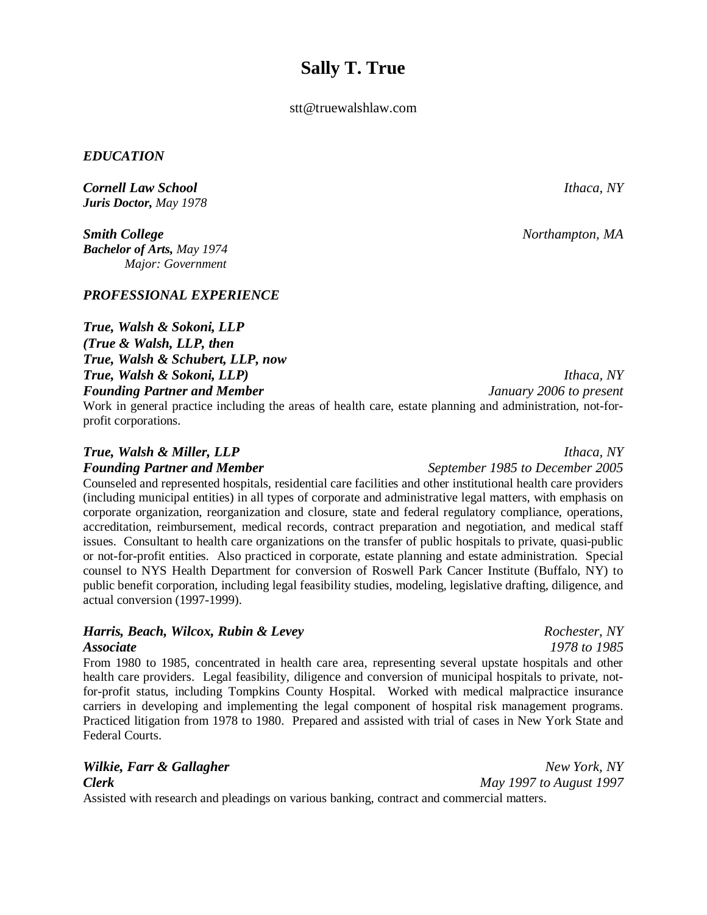## **Sally T. True**

stt@truewalshlaw.com

## *EDUCATION*

*Cornell Law School Ithaca, NY Juris Doctor, May 1978*

*Smith College Northampton, MA Bachelor of Arts, May 1974 Major: Government*

## *PROFESSIONAL EXPERIENCE*

*True, Walsh & Sokoni, LLP (True & Walsh, LLP, then True, Walsh & Schubert, LLP, now True, Walsh & Sokoni, LLP) Ithaca, NY Founding Partner and Member January 2006 to present*

Work in general practice including the areas of health care, estate planning and administration, not-forprofit corporations.

Counseled and represented hospitals, residential care facilities and other institutional health care providers (including municipal entities) in all types of corporate and administrative legal matters, with emphasis on corporate organization, reorganization and closure, state and federal regulatory compliance, operations, accreditation, reimbursement, medical records, contract preparation and negotiation, and medical staff issues. Consultant to health care organizations on the transfer of public hospitals to private, quasi-public or not-for-profit entities. Also practiced in corporate, estate planning and estate administration. Special counsel to NYS Health Department for conversion of Roswell Park Cancer Institute (Buffalo, NY) to public benefit corporation, including legal feasibility studies, modeling, legislative drafting, diligence, and actual conversion (1997-1999).

## *Harris, Beach, Wilcox, Rubin & Levey Rochester, NY*

From 1980 to 1985, concentrated in health care area, representing several upstate hospitals and other health care providers. Legal feasibility, diligence and conversion of municipal hospitals to private, notfor-profit status, including Tompkins County Hospital. Worked with medical malpractice insurance carriers in developing and implementing the legal component of hospital risk management programs. Practiced litigation from 1978 to 1980. Prepared and assisted with trial of cases in New York State and Federal Courts.

# *Wilkie, Farr & Gallagher New York, NY*

Assisted with research and pleadings on various banking, contract and commercial matters.

*Clerk May 1997 to August 1997*

*Associate 1978 to 1985*

*True, Walsh & Miller, LLP Ithaca, NY*

*Founding Partner and Member September 1985 to December 2005*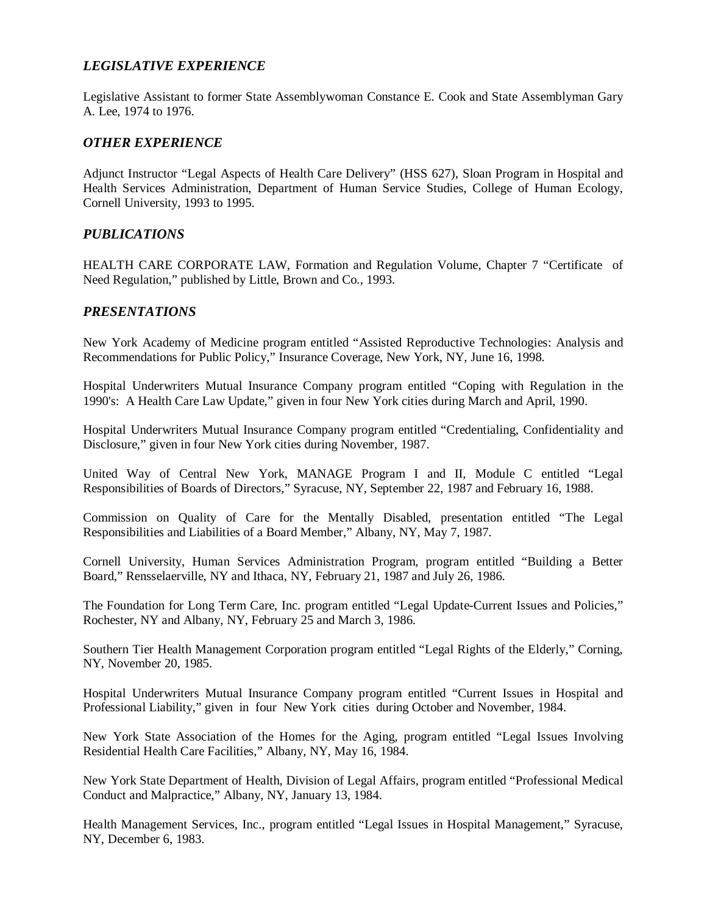## *LEGISLATIVE EXPERIENCE*

Legislative Assistant to former State Assemblywoman Constance E. Cook and State Assemblyman Gary A. Lee, 1974 to 1976.

## *OTHER EXPERIENCE*

Adjunct Instructor "Legal Aspects of Health Care Delivery" (HSS 627), Sloan Program in Hospital and Health Services Administration, Department of Human Service Studies, College of Human Ecology, Cornell University, 1993 to 1995.

## *PUBLICATIONS*

HEALTH CARE CORPORATE LAW, Formation and Regulation Volume, Chapter 7 "Certificate of Need Regulation," published by Little, Brown and Co., 1993.

## *PRESENTATIONS*

New York Academy of Medicine program entitled "Assisted Reproductive Technologies: Analysis and Recommendations for Public Policy," Insurance Coverage, New York, NY, June 16, 1998.

Hospital Underwriters Mutual Insurance Company program entitled "Coping with Regulation in the 1990's: A Health Care Law Update," given in four New York cities during March and April, 1990.

Hospital Underwriters Mutual Insurance Company program entitled "Credentialing, Confidentiality and Disclosure," given in four New York cities during November, 1987.

United Way of Central New York, MANAGE Program I and II, Module C entitled "Legal Responsibilities of Boards of Directors," Syracuse, NY, September 22, 1987 and February 16, 1988.

Commission on Quality of Care for the Mentally Disabled, presentation entitled "The Legal Responsibilities and Liabilities of a Board Member," Albany, NY, May 7, 1987.

Cornell University, Human Services Administration Program, program entitled "Building a Better Board," Rensselaerville, NY and Ithaca, NY, February 21, 1987 and July 26, 1986.

The Foundation for Long Term Care, Inc. program entitled "Legal Update-Current Issues and Policies," Rochester, NY and Albany, NY, February 25 and March 3, 1986.

Southern Tier Health Management Corporation program entitled "Legal Rights of the Elderly," Corning, NY, November 20, 1985.

Hospital Underwriters Mutual Insurance Company program entitled "Current Issues in Hospital and Professional Liability," given in four New York cities during October and November, 1984.

New York State Association of the Homes for the Aging, program entitled "Legal Issues Involving Residential Health Care Facilities," Albany, NY, May 16, 1984.

New York State Department of Health, Division of Legal Affairs, program entitled "Professional Medical Conduct and Malpractice," Albany, NY, January 13, 1984.

Health Management Services, Inc., program entitled "Legal Issues in Hospital Management," Syracuse, NY, December 6, 1983.